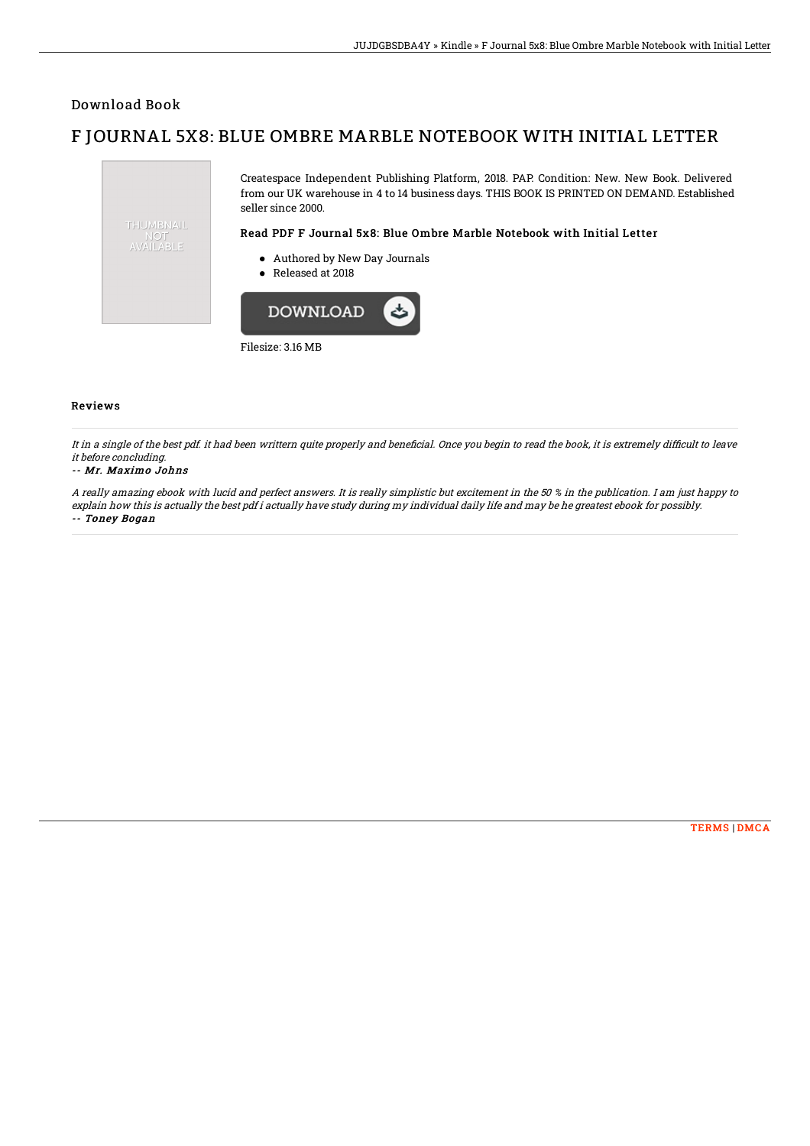### Download Book

# F JOURNAL 5X8: BLUE OMBRE MARBLE NOTEBOOK WITH INITIAL LETTER



Filesize: 3.16 MB

### Reviews

It in a single of the best pdf. it had been writtern quite properly and beneficial. Once you begin to read the book, it is extremely difficult to leave it before concluding.

#### -- Mr. Maximo Johns

A really amazing ebook with lucid and perfect answers. It is really simplistic but excitement in the 50 % in the publication. I am just happy to explain how this is actually the best pdf i actually have study during my individual daily life and may be he greatest ebook for possibly. -- Toney Bogan